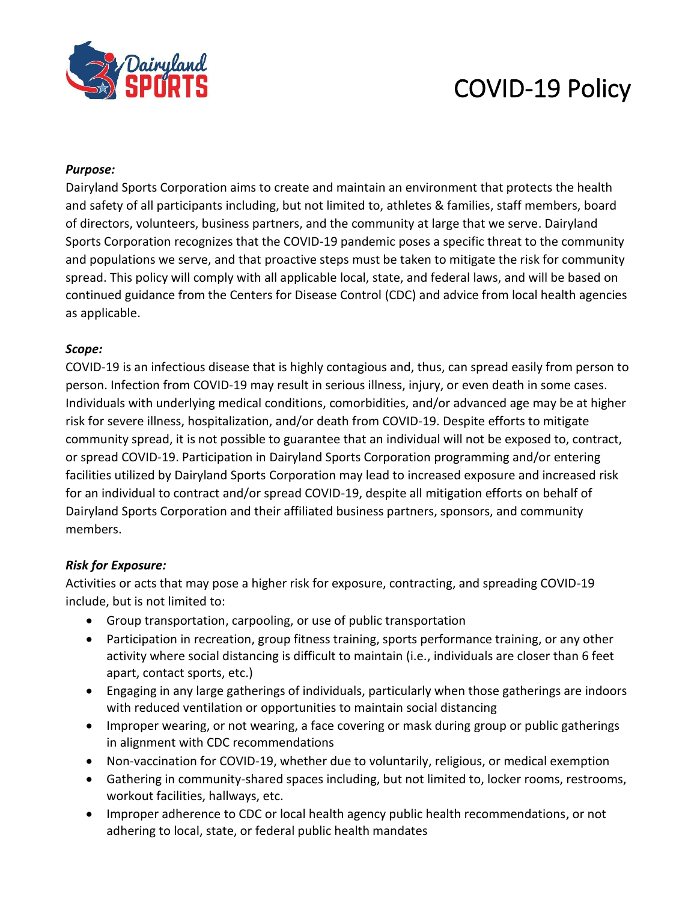

# COVID-19 Policy

#### *Purpose:*

Dairyland Sports Corporation aims to create and maintain an environment that protects the health and safety of all participants including, but not limited to, athletes & families, staff members, board of directors, volunteers, business partners, and the community at large that we serve. Dairyland Sports Corporation recognizes that the COVID-19 pandemic poses a specific threat to the community and populations we serve, and that proactive steps must be taken to mitigate the risk for community spread. This policy will comply with all applicable local, state, and federal laws, and will be based on continued guidance from the Centers for Disease Control (CDC) and advice from local health agencies as applicable.

### *Scope:*

COVID-19 is an infectious disease that is highly contagious and, thus, can spread easily from person to person. Infection from COVID-19 may result in serious illness, injury, or even death in some cases. Individuals with underlying medical conditions, comorbidities, and/or advanced age may be at higher risk for severe illness, hospitalization, and/or death from COVID-19. Despite efforts to mitigate community spread, it is not possible to guarantee that an individual will not be exposed to, contract, or spread COVID-19. Participation in Dairyland Sports Corporation programming and/or entering facilities utilized by Dairyland Sports Corporation may lead to increased exposure and increased risk for an individual to contract and/or spread COVID-19, despite all mitigation efforts on behalf of Dairyland Sports Corporation and their affiliated business partners, sponsors, and community members.

## *Risk for Exposure:*

Activities or acts that may pose a higher risk for exposure, contracting, and spreading COVID-19 include, but is not limited to:

- Group transportation, carpooling, or use of public transportation
- Participation in recreation, group fitness training, sports performance training, or any other activity where social distancing is difficult to maintain (i.e., individuals are closer than 6 feet apart, contact sports, etc.)
- Engaging in any large gatherings of individuals, particularly when those gatherings are indoors with reduced ventilation or opportunities to maintain social distancing
- Improper wearing, or not wearing, a face covering or mask during group or public gatherings in alignment with CDC recommendations
- Non-vaccination for COVID-19, whether due to voluntarily, religious, or medical exemption
- Gathering in community-shared spaces including, but not limited to, locker rooms, restrooms, workout facilities, hallways, etc.
- Improper adherence to CDC or local health agency public health recommendations, or not adhering to local, state, or federal public health mandates